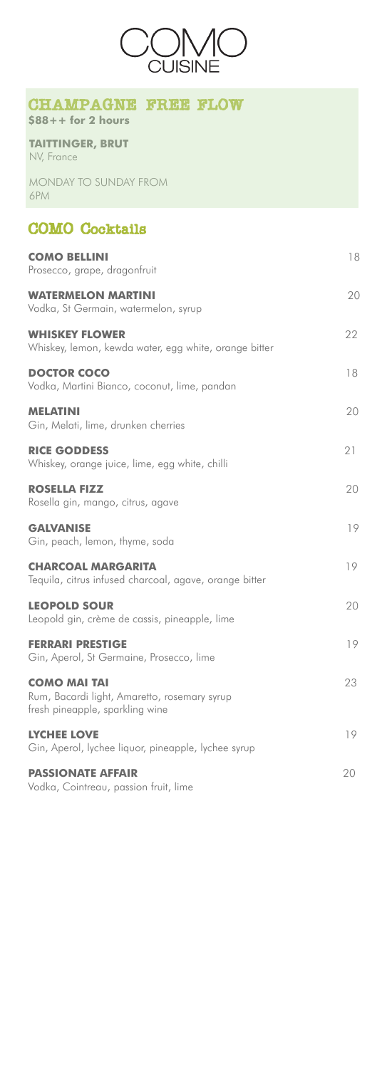# COMO Cocktails

| <b>COMO BELLINI</b><br>Prosecco, grape, dragonfruit                                                    | 18 |
|--------------------------------------------------------------------------------------------------------|----|
| <b>WATERMELON MARTINI</b><br>Vodka, St Germain, watermelon, syrup                                      | 20 |
| <b>WHISKEY FLOWER</b><br>Whiskey, lemon, kewda water, egg white, orange bitter                         | 22 |
| <b>DOCTOR COCO</b><br>Vodka, Martini Bianco, coconut, lime, pandan                                     | 18 |
| <b>MELATINI</b><br>Gin, Melati, lime, drunken cherries                                                 | 20 |
| <b>RICE GODDESS</b><br>Whiskey, orange juice, lime, egg white, chilli                                  | 21 |
| <b>ROSELLA FIZZ</b><br>Rosella gin, mango, citrus, agave                                               | 20 |
| <b>GALVANISE</b><br>Gin, peach, lemon, thyme, soda                                                     | 19 |
| <b>CHARCOAL MARGARITA</b><br>Tequila, citrus infused charcoal, agave, orange bitter                    | 19 |
| <b>LEOPOLD SOUR</b><br>Leopold gin, crème de cassis, pineapple, lime                                   | 20 |
| <b>FERRARI PRESTIGE</b><br>Gin, Aperol, St Germaine, Prosecco, lime                                    | 19 |
| <b>COMO MAI TAI</b><br>Rum, Bacardi light, Amaretto, rosemary syrup<br>fresh pineapple, sparkling wine | 23 |
| <b>LYCHEE LOVE</b><br>Gin, Aperol, lychee liquor, pineapple, lychee syrup                              | 19 |
| <b>PASSIONATE AFFAIR</b><br>Vodka, Cointreau, passion fruit, lime                                      | 20 |

**TAITTINGER, BRUT** NV, France

MONDAY TO SUNDAY FROM 6PM



### CHAMPAGNE FREE FLOW

**\$88++ for 2 hours**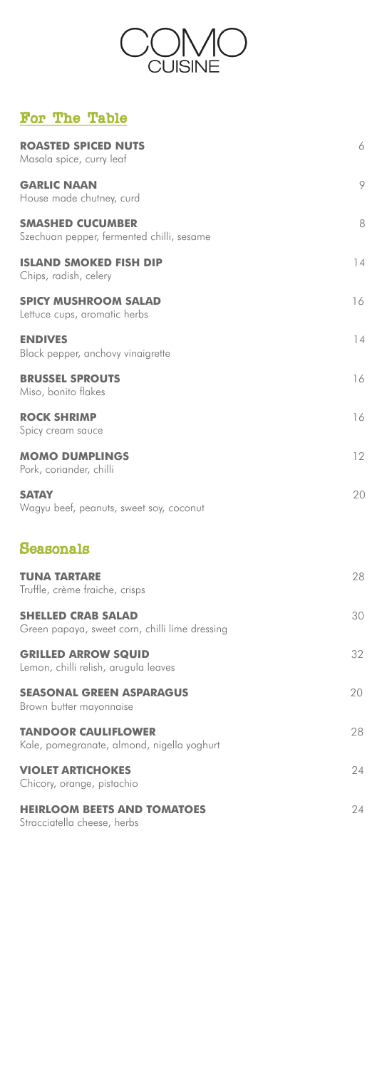

## For The Table

| <b>ROASTED SPICED NUTS</b><br>Masala spice, curry leaf                      | 6  |
|-----------------------------------------------------------------------------|----|
| <b>GARLIC NAAN</b><br>House made chutney, curd                              | 9  |
| <b>SMASHED CUCUMBER</b><br>Szechuan pepper, fermented chilli, sesame        | 8  |
| <b>ISLAND SMOKED FISH DIP</b><br>Chips, radish, celery                      | 14 |
| <b>SPICY MUSHROOM SALAD</b><br>Lettuce cups, aromatic herbs                 | 16 |
| <b>ENDIVES</b><br>Black pepper, anchovy vinaigrette                         | 14 |
| <b>BRUSSEL SPROUTS</b><br>Miso, bonito flakes                               | 16 |
| <b>ROCK SHRIMP</b><br>Spicy cream sauce                                     | 16 |
| <b>MOMO DUMPLINGS</b><br>Pork, coriander, chilli                            | 12 |
| <b>SATAY</b><br>Wagyu beef, peanuts, sweet soy, coconut                     | 20 |
| Seasonals                                                                   |    |
| <b>TUNA TARTARE</b><br>Truffle, crème fraiche, crisps                       | 28 |
| <b>SHELLED CRAB SALAD</b><br>Green papaya, sweet corn, chilli lime dressing | 30 |
| <b>GRILLED ARROW SQUID</b><br>Lemon, chilli relish, arugula leaves          | 32 |
| <b>SEASONAL GREEN ASPARAGUS</b><br>Brown butter mayonnaise                  | 20 |
| <b>TANDOOR CAULIFLOWER</b><br>Kale, pomegranate, almond, nigella yoghurt    | 28 |
| <b>VIOLET ARTICHOKES</b><br>Chicory, orange, pistachio                      | 24 |

#### **HEIRLOOM BEETS AND TOMATOES** 24

Stracciatella cheese, herbs